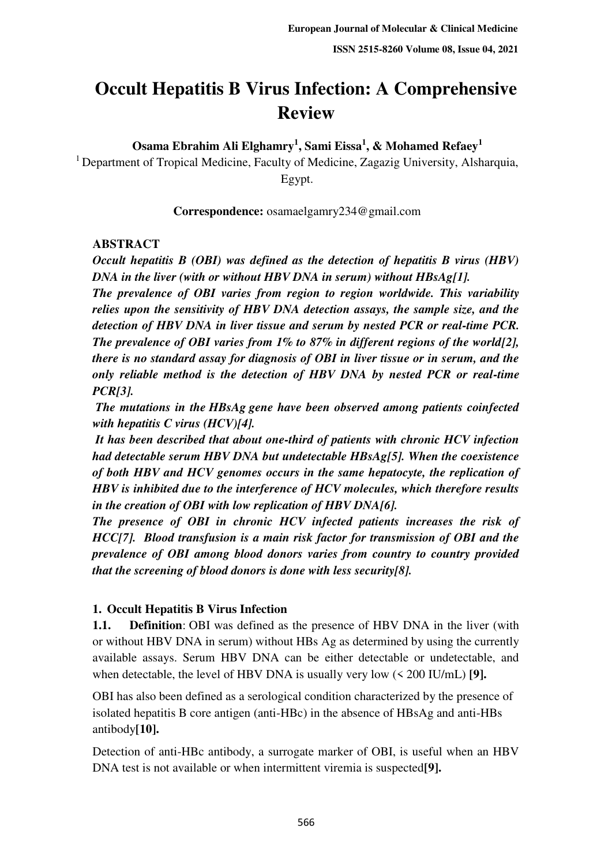# **Occult Hepatitis B Virus Infection: A Comprehensive Review**

**Osama Ebrahim Ali Elghamry<sup>1</sup> , Sami Eissa<sup>1</sup> , & Mohamed Refaey<sup>1</sup>**

<sup>1</sup> Department of Tropical Medicine, Faculty of Medicine, Zagazig University, Alsharquia, Egypt.

**Correspondence:** osamaelgamry234@gmail.com

#### **ABSTRACT**

*Occult hepatitis B (OBI) was defined as the detection of hepatitis B virus (HBV) DNA in the liver (with or without HBV DNA in serum) without HBsAg[1].* 

*The prevalence of OBI varies from region to region worldwide. This variability relies upon the sensitivity of HBV DNA detection assays, the sample size, and the detection of HBV DNA in liver tissue and serum by nested PCR or real-time PCR. The prevalence of OBI varies from 1% to 87% in different regions of the world[2], there is no standard assay for diagnosis of OBI in liver tissue or in serum, and the only reliable method is the detection of HBV DNA by nested PCR or real-time PCR[3].* 

 *The mutations in the HBsAg gene have been observed among patients coinfected with hepatitis C virus (HCV)[4].* 

 *It has been described that about one-third of patients with chronic HCV infection had detectable serum HBV DNA but undetectable HBsAg[5]. When the coexistence of both HBV and HCV genomes occurs in the same hepatocyte, the replication of HBV is inhibited due to the interference of HCV molecules, which therefore results in the creation of OBI with low replication of HBV DNA[6].* 

*The presence of OBI in chronic HCV infected patients increases the risk of HCC[7]. Blood transfusion is a main risk factor for transmission of OBI and the prevalence of OBI among blood donors varies from country to country provided that the screening of blood donors is done with less security[8].* 

# **1. Occult Hepatitis B Virus Infection**

**1.1. Definition**: OBI was defined as the presence of HBV DNA in the liver (with or without HBV DNA in serum) without HBs Ag as determined by using the currently available assays. Serum HBV DNA can be either detectable or undetectable, and when detectable, the level of HBV DNA is usually very low (< 200 IU/mL) **[9].** 

OBI has also been defined as a serological condition characterized by the presence of isolated hepatitis B core antigen (anti-HBc) in the absence of HBsAg and anti-HBs antibody**[10].** 

Detection of anti-HBc antibody, a surrogate marker of OBI, is useful when an HBV DNA test is not available or when intermittent viremia is suspected**[9].**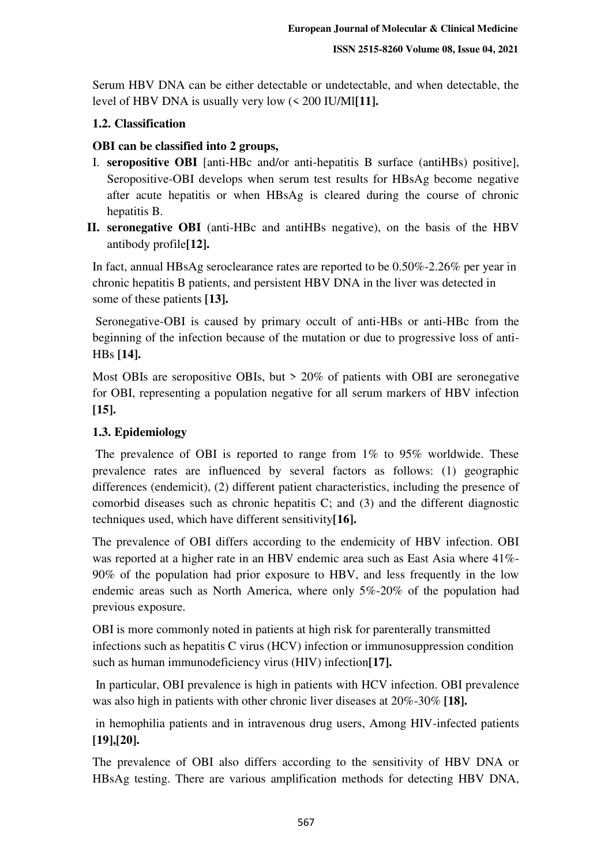Serum HBV DNA can be either detectable or undetectable, and when detectable, the level of HBV DNA is usually very low (< 200 IU/Ml**[11].** 

# **1.2. Classification**

# **OBI can be classified into 2 groups,**

- I. **seropositive OBI** [anti-HBc and/or anti-hepatitis B surface (antiHBs) positive], Seropositive-OBI develops when serum test results for HBsAg become negative after acute hepatitis or when HBsAg is cleared during the course of chronic hepatitis B.
- **II. seronegative OBI** (anti-HBc and antiHBs negative), on the basis of the HBV antibody profile**[12].**

In fact, annual HBsAg seroclearance rates are reported to be 0.50%-2.26% per year in chronic hepatitis B patients, and persistent HBV DNA in the liver was detected in some of these patients **[13].** 

 Seronegative-OBI is caused by primary occult of anti-HBs or anti-HBc from the beginning of the infection because of the mutation or due to progressive loss of anti-HBs **[14].**

Most OBIs are seropositive OBIs, but  $> 20\%$  of patients with OBI are seronegative for OBI, representing a population negative for all serum markers of HBV infection **[15].** 

# **1.3. Epidemiology**

 The prevalence of OBI is reported to range from 1% to 95% worldwide. These prevalence rates are influenced by several factors as follows: (1) geographic differences (endemicit), (2) different patient characteristics, including the presence of comorbid diseases such as chronic hepatitis C; and (3) and the different diagnostic techniques used, which have different sensitivity**[16].** 

The prevalence of OBI differs according to the endemicity of HBV infection. OBI was reported at a higher rate in an HBV endemic area such as East Asia where 41%- 90% of the population had prior exposure to HBV, and less frequently in the low endemic areas such as North America, where only 5%-20% of the population had previous exposure.

OBI is more commonly noted in patients at high risk for parenterally transmitted infections such as hepatitis C virus (HCV) infection or immunosuppression condition such as human immunodeficiency virus (HIV) infection**[17].** 

 In particular, OBI prevalence is high in patients with HCV infection. OBI prevalence was also high in patients with other chronic liver diseases at 20%-30% **[18].** 

 in hemophilia patients and in intravenous drug users, Among HIV-infected patients **[19],[20].** 

The prevalence of OBI also differs according to the sensitivity of HBV DNA or HBsAg testing. There are various amplification methods for detecting HBV DNA,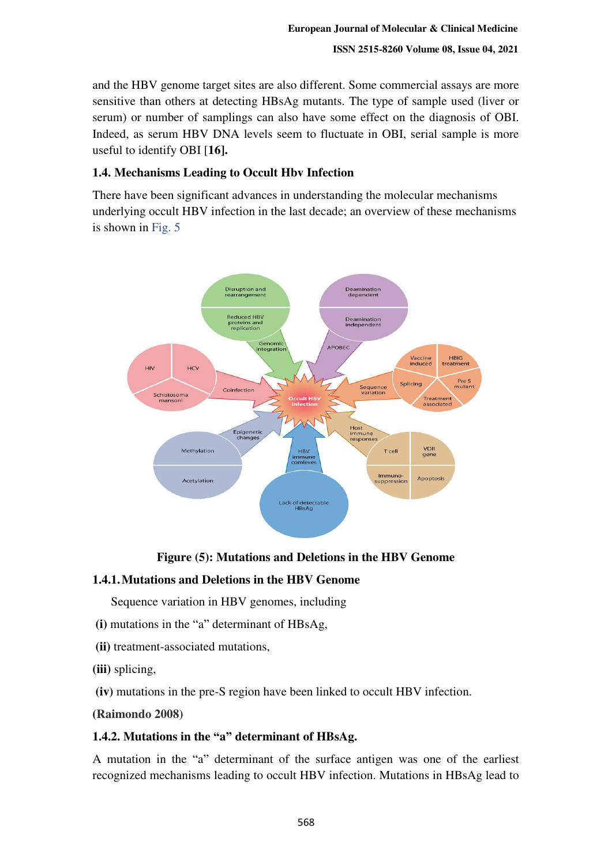and the HBV genome target sites are also different. Some commercial assays are more sensitive than others at detecting HBsAg mutants. The type of sample used (liver or serum) or number of samplings can also have some effect on the diagnosis of OBI. Indeed, as serum HBV DNA levels seem to fluctuate in OBI, serial sample is more useful to identify OBI [**16].** 

# **1.4. Mechanisms Leading to Occult Hbv Infection**

There have been significant advances in understanding the molecular mechanisms underlying occult HBV infection in the last decade; an overview of these mechanisms is shown in Fig. 5



# **Figure (5): Mutations and Deletions in the HBV Genome**

# **1.4.1.Mutations and Deletions in the HBV Genome**

Sequence variation in HBV genomes, including

- **(i)** mutations in the "a" determinant of HBsAg,
- **(ii)** treatment-associated mutations,
- **(iii)** splicing,
- **(iv)** mutations in the pre-S region have been linked to occult HBV infection.

**(Raimondo 2008)**

# **1.4.2. Mutations in the "a" determinant of HBsAg.**

A mutation in the "a" determinant of the surface antigen was one of the earliest recognized mechanisms leading to occult HBV infection. Mutations in HBsAg lead to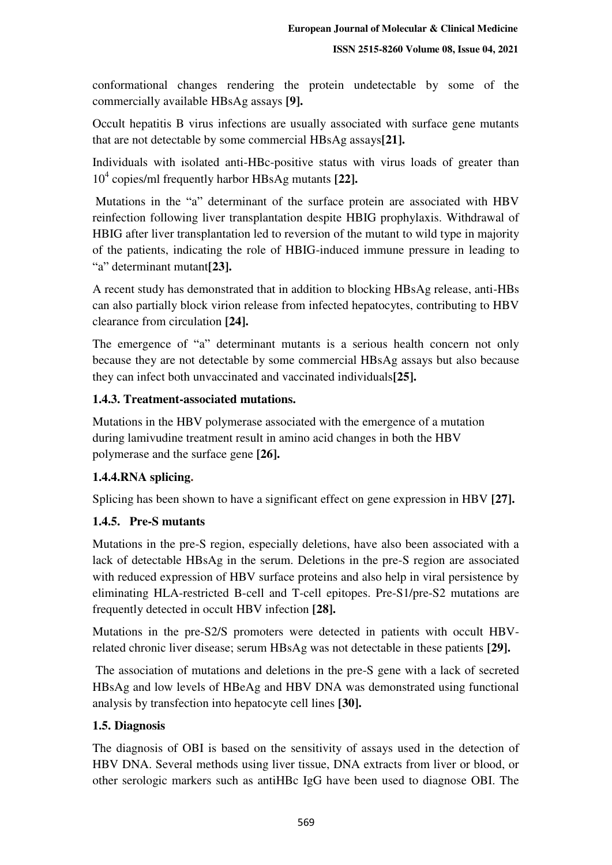conformational changes rendering the protein undetectable by some of the commercially available HBsAg assays **[9].** 

Occult hepatitis B virus infections are usually associated with surface gene mutants that are not detectable by some commercial HBsAg assays**[21].**

Individuals with isolated anti-HBc-positive status with virus loads of greater than 10<sup>4</sup> copies/ml frequently harbor HBsAg mutants **[22].**

 Mutations in the "a" determinant of the surface protein are associated with HBV reinfection following liver transplantation despite HBIG prophylaxis. Withdrawal of HBIG after liver transplantation led to reversion of the mutant to wild type in majority of the patients, indicating the role of HBIG-induced immune pressure in leading to "a" determinant mutant**[23].**

A recent study has demonstrated that in addition to blocking HBsAg release, anti-HBs can also partially block virion release from infected hepatocytes, contributing to HBV clearance from circulation **[24].**

The emergence of "a" determinant mutants is a serious health concern not only because they are not detectable by some commercial HBsAg assays but also because they can infect both unvaccinated and vaccinated individuals**[25].**

# **1.4.3. Treatment-associated mutations.**

Mutations in the HBV polymerase associated with the emergence of a mutation during lamivudine treatment result in amino acid changes in both the HBV polymerase and the surface gene **[26].**

# **1.4.4.RNA splicing.**

Splicing has been shown to have a significant effect on gene expression in HBV **[27].**

#### **1.4.5. Pre-S mutants**

Mutations in the pre-S region, especially deletions, have also been associated with a lack of detectable HBsAg in the serum. Deletions in the pre-S region are associated with reduced expression of HBV surface proteins and also help in viral persistence by eliminating HLA-restricted B-cell and T-cell epitopes. Pre-S1/pre-S2 mutations are frequently detected in occult HBV infection **[28].**

Mutations in the pre-S2/S promoters were detected in patients with occult HBVrelated chronic liver disease; serum HBsAg was not detectable in these patients **[29].**

 The association of mutations and deletions in the pre-S gene with a lack of secreted HBsAg and low levels of HBeAg and HBV DNA was demonstrated using functional analysis by transfection into hepatocyte cell lines **[30].**

# **1.5. Diagnosis**

The diagnosis of OBI is based on the sensitivity of assays used in the detection of HBV DNA. Several methods using liver tissue, DNA extracts from liver or blood, or other serologic markers such as antiHBc IgG have been used to diagnose OBI. The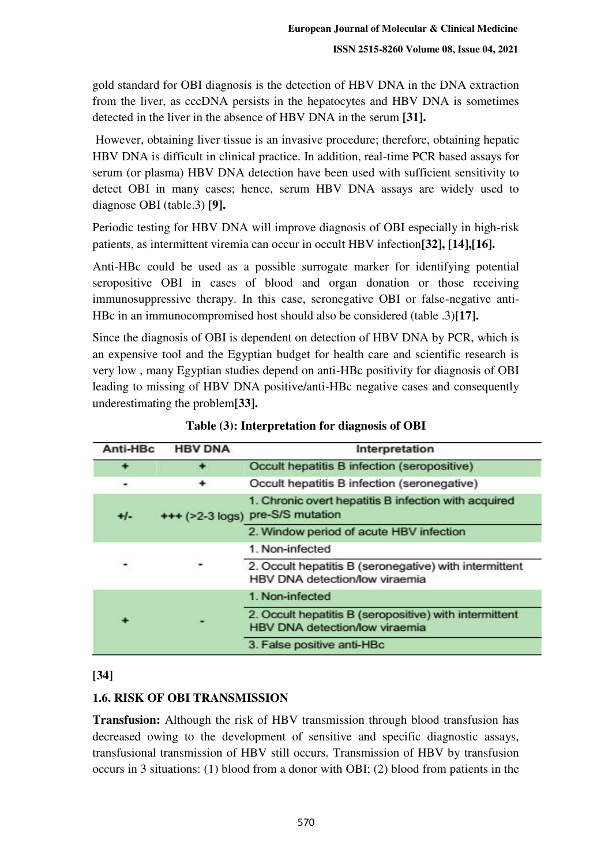gold standard for OBI diagnosis is the detection of HBV DNA in the DNA extraction from the liver, as cccDNA persists in the hepatocytes and HBV DNA is sometimes detected in the liver in the absence of HBV DNA in the serum **[31].**

 However, obtaining liver tissue is an invasive procedure; therefore, obtaining hepatic HBV DNA is difficult in clinical practice. In addition, real-time PCR based assays for serum (or plasma) HBV DNA detection have been used with sufficient sensitivity to detect OBI in many cases; hence, serum HBV DNA assays are widely used to diagnose OBI (table.3) **[9].**

Periodic testing for HBV DNA will improve diagnosis of OBI especially in high-risk patients, as intermittent viremia can occur in occult HBV infection**[32], [14],[16].**

Anti-HBc could be used as a possible surrogate marker for identifying potential seropositive OBI in cases of blood and organ donation or those receiving immunosuppressive therapy. In this case, seronegative OBI or false-negative anti-HBc in an immunocompromised host should also be considered (table .3)**[17].**

Since the diagnosis of OBI is dependent on detection of HBV DNA by PCR, which is an expensive tool and the Egyptian budget for health care and scientific research is very low , many Egyptian studies depend on anti-HBc positivity for diagnosis of OBI leading to missing of HBV DNA positive/anti-HBc negative cases and consequently underestimating the problem**[33].** 

| Anti-HBc | <b>HBV DNA</b> | Interpretation                                                                           |
|----------|----------------|------------------------------------------------------------------------------------------|
|          |                | Occult hepatitis B infection (seropositive)                                              |
|          |                | Occult hepatitis B infection (seronegative)                                              |
| $+1-$    |                | 1. Chronic overt hepatitis B infection with acquired<br>+++ (>2-3 logs) pre-S/S mutation |
|          |                | 2. Window period of acute HBV infection                                                  |
|          |                | 1. Non-infected                                                                          |
|          |                | 2. Occult hepatitis B (seronegative) with intermittent<br>HBV DNA detection/low viraemia |
|          |                | 1. Non-infected                                                                          |
|          |                | 2. Occult hepatitis B (seropositive) with intermittent<br>HBV DNA detection/low viraemia |
|          |                | 3. False positive anti-HBc                                                               |

| Table (3): Interpretation for diagnosis of OBI |  |
|------------------------------------------------|--|
|------------------------------------------------|--|

# **[34]**

# **1.6. RISK OF OBI TRANSMISSION**

**Transfusion:** Although the risk of HBV transmission through blood transfusion has decreased owing to the development of sensitive and specific diagnostic assays, transfusional transmission of HBV still occurs. Transmission of HBV by transfusion occurs in 3 situations: (1) blood from a donor with OBI; (2) blood from patients in the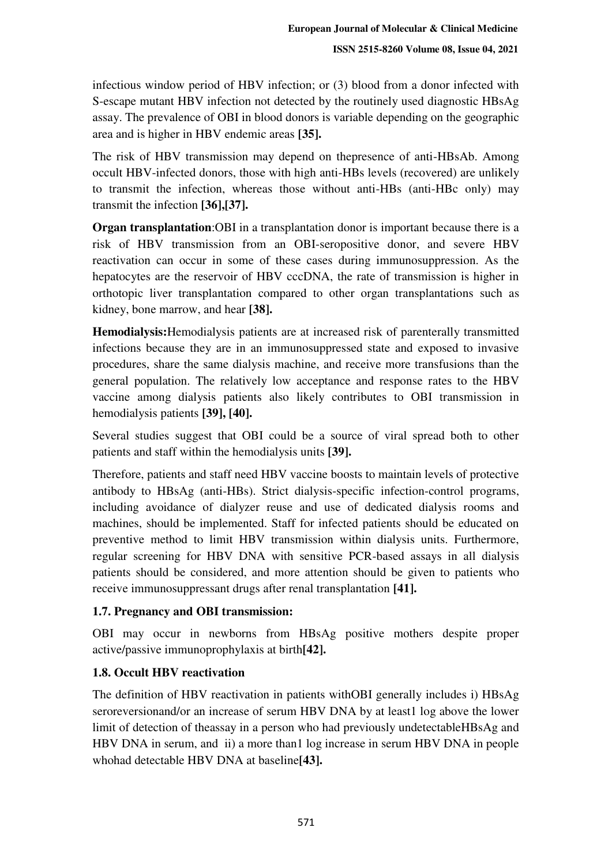infectious window period of HBV infection; or (3) blood from a donor infected with S-escape mutant HBV infection not detected by the routinely used diagnostic HBsAg assay. The prevalence of OBI in blood donors is variable depending on the geographic area and is higher in HBV endemic areas **[35].**

The risk of HBV transmission may depend on thepresence of anti-HBsAb. Among occult HBV-infected donors, those with high anti-HBs levels (recovered) are unlikely to transmit the infection, whereas those without anti-HBs (anti-HBc only) may transmit the infection **[36],[37].**

**Organ transplantation**:OBI in a transplantation donor is important because there is a risk of HBV transmission from an OBI-seropositive donor, and severe HBV reactivation can occur in some of these cases during immunosuppression. As the hepatocytes are the reservoir of HBV cccDNA, the rate of transmission is higher in orthotopic liver transplantation compared to other organ transplantations such as kidney, bone marrow, and hear **[38].**

**Hemodialysis:**Hemodialysis patients are at increased risk of parenterally transmitted infections because they are in an immunosuppressed state and exposed to invasive procedures, share the same dialysis machine, and receive more transfusions than the general population. The relatively low acceptance and response rates to the HBV vaccine among dialysis patients also likely contributes to OBI transmission in hemodialysis patients **[39], [40].**

Several studies suggest that OBI could be a source of viral spread both to other patients and staff within the hemodialysis units **[39].**

Therefore, patients and staff need HBV vaccine boosts to maintain levels of protective antibody to HBsAg (anti-HBs). Strict dialysis-specific infection-control programs, including avoidance of dialyzer reuse and use of dedicated dialysis rooms and machines, should be implemented. Staff for infected patients should be educated on preventive method to limit HBV transmission within dialysis units. Furthermore, regular screening for HBV DNA with sensitive PCR-based assays in all dialysis patients should be considered, and more attention should be given to patients who receive immunosuppressant drugs after renal transplantation **[41].**

# **1.7. Pregnancy and OBI transmission:**

OBI may occur in newborns from HBsAg positive mothers despite proper active/passive immunoprophylaxis at birth**[42].**

# **1.8. Occult HBV reactivation**

The definition of HBV reactivation in patients withOBI generally includes i) HBsAg seroreversionand/or an increase of serum HBV DNA by at least1 log above the lower limit of detection of theassay in a person who had previously undetectableHBsAg and HBV DNA in serum, and ii) a more than1 log increase in serum HBV DNA in people whohad detectable HBV DNA at baseline**[43].**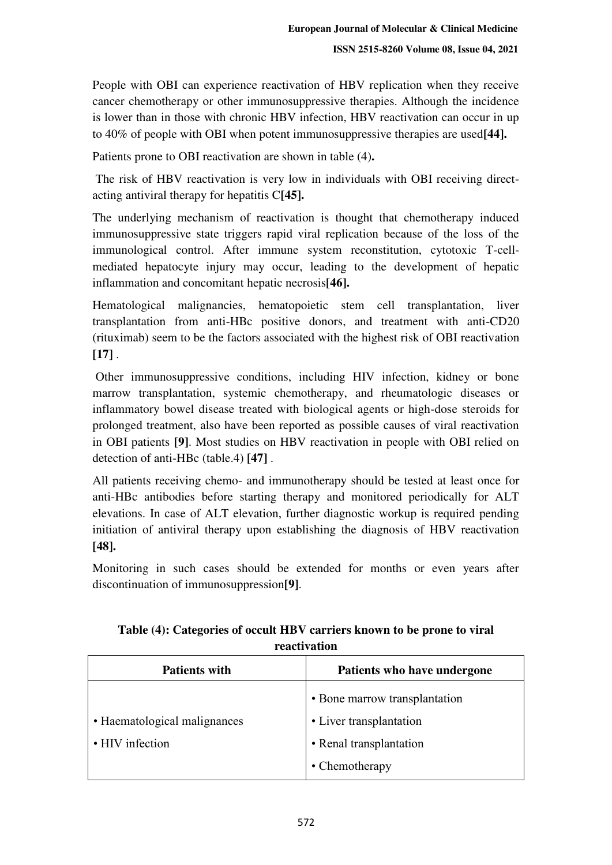People with OBI can experience reactivation of HBV replication when they receive cancer chemotherapy or other immunosuppressive therapies. Although the incidence is lower than in those with chronic HBV infection, HBV reactivation can occur in up to 40% of people with OBI when potent immunosuppressive therapies are used**[44].** 

Patients prone to OBI reactivation are shown in table (4)**.** 

 The risk of HBV reactivation is very low in individuals with OBI receiving directacting antiviral therapy for hepatitis C**[45].**

The underlying mechanism of reactivation is thought that chemotherapy induced immunosuppressive state triggers rapid viral replication because of the loss of the immunological control. After immune system reconstitution, cytotoxic T-cellmediated hepatocyte injury may occur, leading to the development of hepatic inflammation and concomitant hepatic necrosis**[46].**

Hematological malignancies, hematopoietic stem cell transplantation, liver transplantation from anti-HBc positive donors, and treatment with anti-CD20 (rituximab) seem to be the factors associated with the highest risk of OBI reactivation **[17]** .

 Other immunosuppressive conditions, including HIV infection, kidney or bone marrow transplantation, systemic chemotherapy, and rheumatologic diseases or inflammatory bowel disease treated with biological agents or high-dose steroids for prolonged treatment, also have been reported as possible causes of viral reactivation in OBI patients **[9]**. Most studies on HBV reactivation in people with OBI relied on detection of anti-HBc (table.4) **[47]** .

All patients receiving chemo- and immunotherapy should be tested at least once for anti-HBc antibodies before starting therapy and monitored periodically for ALT elevations. In case of ALT elevation, further diagnostic workup is required pending initiation of antiviral therapy upon establishing the diagnosis of HBV reactivation **[48].**

Monitoring in such cases should be extended for months or even years after discontinuation of immunosuppression**[9]**.

| <b>Patients with</b>         | Patients who have undergone   |
|------------------------------|-------------------------------|
|                              | • Bone marrow transplantation |
| • Haematological malignances | • Liver transplantation       |
| • HIV infection              | • Renal transplantation       |
|                              | • Chemotherapy                |

**Table (4): Categories of occult HBV carriers known to be prone to viral reactivation**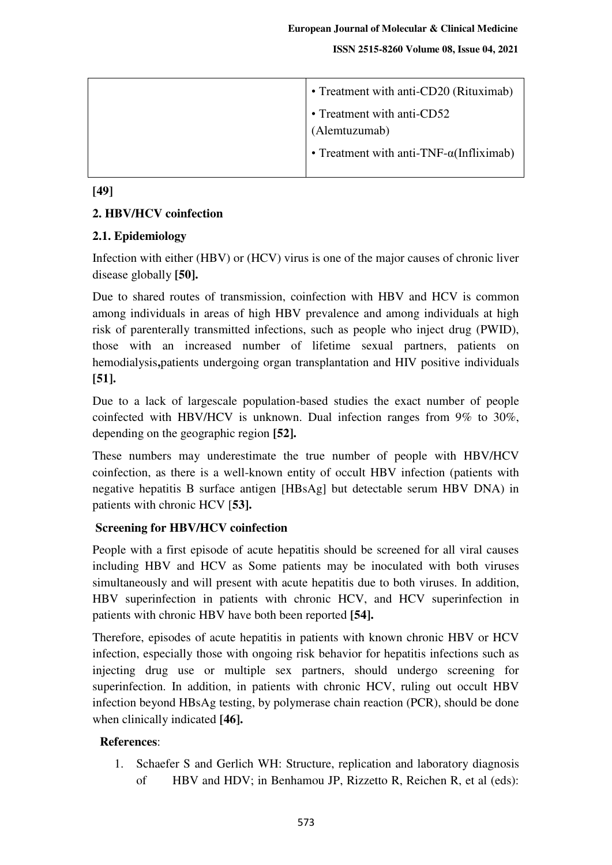**ISSN 2515-8260 Volume 08, Issue 04, 2021**

| • Treatment with anti-CD20 (Rituximab)           |
|--------------------------------------------------|
| • Treatment with anti-CD52                       |
| (Alemtuzumab)                                    |
| • Treatment with anti-TNF- $\alpha$ (Infliximab) |

**[49]** 

# **2. HBV/HCV coinfection**

# **2.1. Epidemiology**

Infection with either (HBV) or (HCV) virus is one of the major causes of chronic liver disease globally **[50].**

Due to shared routes of transmission, coinfection with HBV and HCV is common among individuals in areas of high HBV prevalence and among individuals at high risk of parenterally transmitted infections, such as people who inject drug (PWID), those with an increased number of lifetime sexual partners, patients on hemodialysis**,**patients undergoing organ transplantation and HIV positive individuals **[51].**

Due to a lack of largescale population-based studies the exact number of people coinfected with HBV/HCV is unknown. Dual infection ranges from 9% to 30%, depending on the geographic region **[52].** 

These numbers may underestimate the true number of people with HBV/HCV coinfection, as there is a well-known entity of occult HBV infection (patients with negative hepatitis B surface antigen [HBsAg] but detectable serum HBV DNA) in patients with chronic HCV [**53].** 

# **Screening for HBV/HCV coinfection**

People with a first episode of acute hepatitis should be screened for all viral causes including HBV and HCV as Some patients may be inoculated with both viruses simultaneously and will present with acute hepatitis due to both viruses. In addition, HBV superinfection in patients with chronic HCV, and HCV superinfection in patients with chronic HBV have both been reported **[54].**

Therefore, episodes of acute hepatitis in patients with known chronic HBV or HCV infection, especially those with ongoing risk behavior for hepatitis infections such as injecting drug use or multiple sex partners, should undergo screening for superinfection. In addition, in patients with chronic HCV, ruling out occult HBV infection beyond HBsAg testing, by polymerase chain reaction (PCR), should be done when clinically indicated **[46].**

# **References**:

1. Schaefer S and Gerlich WH: Structure, replication and laboratory diagnosis of HBV and HDV; in Benhamou JP, Rizzetto R, Reichen R, et al (eds):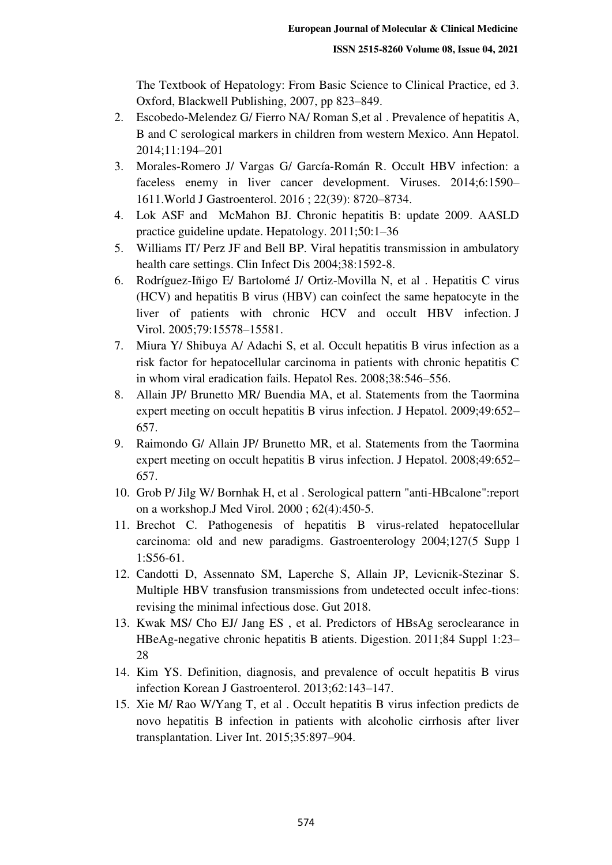The Textbook of Hepatology: From Basic Science to Clinical Practice, ed 3. Oxford, Blackwell Publishing, 2007, pp 823–849.

- 2. Escobedo-Melendez G/ Fierro NA/ Roman S,et al . Prevalence of hepatitis A, B and C serological markers in children from western Mexico. Ann Hepatol. 2014;11:194–201
- 3. Morales-Romero J/ Vargas G/ García-Román R. Occult HBV infection: a faceless enemy in liver cancer development. Viruses. 2014;6:1590– 1611.World J Gastroenterol. 2016 ; 22(39): 8720–8734.
- 4. Lok ASF and McMahon BJ. Chronic hepatitis B: update 2009. AASLD practice guideline update. Hepatology. 2011;50:1–36
- 5. Williams IT/ Perz JF and Bell BP. Viral hepatitis transmission in ambulatory health care settings. Clin Infect Dis 2004;38:1592-8.
- 6. Rodríguez-Iñigo E/ Bartolomé J/ Ortiz-Movilla N, et al . Hepatitis C virus (HCV) and hepatitis B virus (HBV) can coinfect the same hepatocyte in the liver of patients with chronic HCV and occult HBV infection. J Virol. 2005;79:15578–15581.
- 7. Miura Y/ Shibuya A/ Adachi S, et al. Occult hepatitis B virus infection as a risk factor for hepatocellular carcinoma in patients with chronic hepatitis C in whom viral eradication fails. Hepatol Res. 2008;38:546–556.
- 8. Allain JP/ Brunetto MR/ Buendia MA, et al. Statements from the Taormina expert meeting on occult hepatitis B virus infection. J Hepatol. 2009;49:652– 657.
- 9. Raimondo G/ Allain JP/ Brunetto MR, et al. Statements from the Taormina expert meeting on occult hepatitis B virus infection. J Hepatol. 2008;49:652– 657.
- 10. Grob P/ Jilg W/ Bornhak H, et al . Serological pattern "anti-HBcalone":report on a workshop.J Med Virol. 2000 ; 62(4):450-5.
- 11. Brechot C. Pathogenesis of hepatitis B virus-related hepatocellular carcinoma: old and new paradigms. Gastroenterology 2004;127(5 Supp l 1:S56-61.
- 12. Candotti D, Assennato SM, Laperche S, Allain JP, Levicnik-Stezinar S. Multiple HBV transfusion transmissions from undetected occult infec-tions: revising the minimal infectious dose. Gut 2018.
- 13. Kwak MS/ Cho EJ/ Jang ES , et al. Predictors of HBsAg seroclearance in HBeAg-negative chronic hepatitis B atients. Digestion. 2011;84 Suppl 1:23– 28
- 14. Kim YS. Definition, diagnosis, and prevalence of occult hepatitis B virus infection Korean J Gastroenterol. 2013;62:143–147.
- 15. Xie M/ Rao W/Yang T, et al . Occult hepatitis B virus infection predicts de novo hepatitis B infection in patients with alcoholic cirrhosis after liver transplantation. Liver Int. 2015;35:897–904.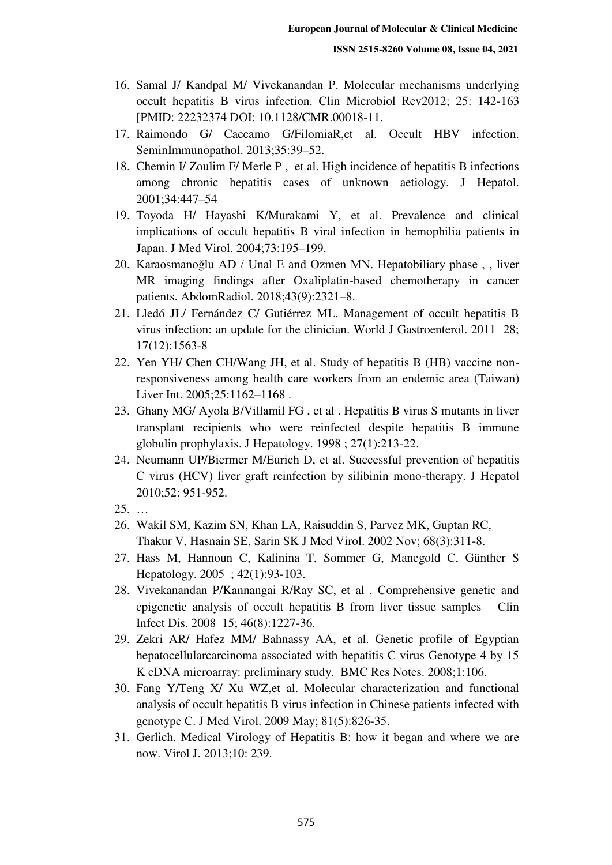- 16. Samal J/ Kandpal M/ Vivekanandan P. Molecular mechanisms underlying occult hepatitis B virus infection. Clin Microbiol Rev2012; 25: 142-163 [PMID: 22232374 DOI: 10.1128/CMR.00018-11.
- 17. Raimondo G/ Caccamo G/FilomiaR,et al. Occult HBV infection. SeminImmunopathol. 2013;35:39–52.
- 18. Chemin I/ Zoulim F/ Merle P , et al. High incidence of hepatitis B infections among chronic hepatitis cases of unknown aetiology. J Hepatol. 2001;34:447–54
- 19. Toyoda H/ Hayashi K/Murakami Y, et al. Prevalence and clinical implications of occult hepatitis B viral infection in hemophilia patients in Japan. J Med Virol. 2004;73:195–199.
- 20. Karaosmanoğlu AD / Unal E and Ozmen MN. Hepatobiliary phase , , liver MR imaging findings after Oxaliplatin-based chemotherapy in cancer patients. AbdomRadiol. 2018;43(9):2321–8.
- 21. Lledó JL/ Fernández C/ Gutiérrez ML. Management of occult hepatitis B virus infection: an update for the clinician. World J Gastroenterol. 2011 28; 17(12):1563-8
- 22. Yen YH/ Chen CH/Wang JH, et al. Study of hepatitis B (HB) vaccine nonresponsiveness among health care workers from an endemic area (Taiwan) Liver Int. 2005;25:1162–1168 .
- 23. Ghany MG/ Ayola B/Villamil FG , et al . Hepatitis B virus S mutants in liver transplant recipients who were reinfected despite hepatitis B immune globulin prophylaxis. J Hepatology. 1998 ; 27(1):213-22.
- 24. Neumann UP/Biermer M/Eurich D, et al. Successful prevention of hepatitis C virus (HCV) liver graft reinfection by silibinin mono-therapy. J Hepatol 2010;52: 951-952.
- $25. \ldots$
- 26. Wakil SM, Kazim SN, Khan LA, Raisuddin S, Parvez MK, Guptan RC, Thakur V, Hasnain SE, Sarin SK J Med Virol. 2002 Nov; 68(3):311-8.
- 27. Hass M, Hannoun C, Kalinina T, Sommer G, Manegold C, Günther S Hepatology. 2005 ; 42(1):93-103.
- 28. Vivekanandan P/Kannangai R/Ray SC, et al . Comprehensive genetic and epigenetic analysis of occult hepatitis B from liver tissue samples Clin Infect Dis. 2008 15; 46(8):1227-36.
- 29. Zekri AR/ Hafez MM/ Bahnassy AA, et al. Genetic profile of Egyptian hepatocellularcarcinoma associated with hepatitis C virus Genotype 4 by 15 K cDNA microarray: preliminary study. BMC Res Notes. 2008;1:106.
- 30. Fang Y/Teng X/ Xu WZ,et al. Molecular characterization and functional analysis of occult hepatitis B virus infection in Chinese patients infected with genotype C. J Med Virol. 2009 May; 81(5):826-35.
- 31. Gerlich. Medical Virology of Hepatitis B: how it began and where we are now. Virol J. 2013;10: 239.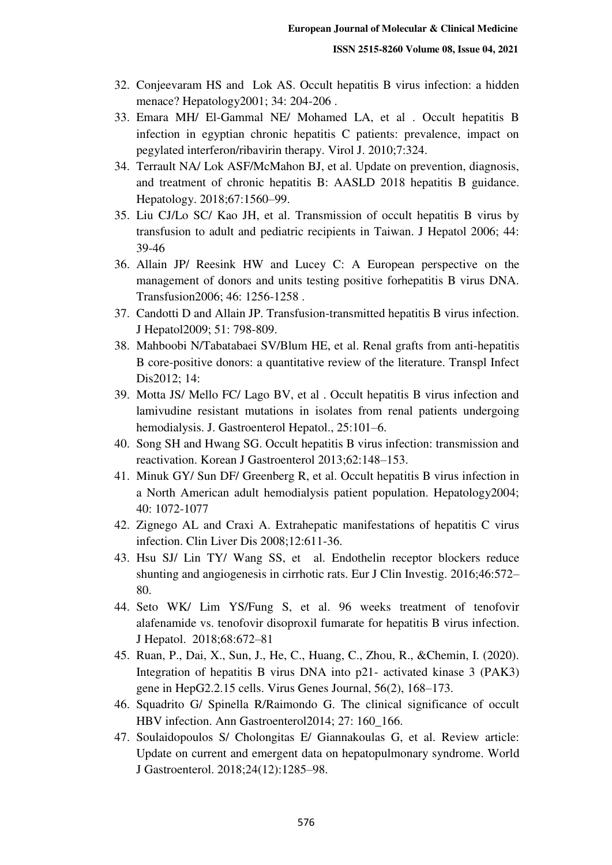- 32. Conjeevaram HS and Lok AS. Occult hepatitis B virus infection: a hidden menace? Hepatology2001; 34: 204-206 .
- 33. Emara MH/ El-Gammal NE/ Mohamed LA, et al . Occult hepatitis B infection in egyptian chronic hepatitis C patients: prevalence, impact on pegylated interferon/ribavirin therapy. Virol J. 2010;7:324.
- 34. Terrault NA/ Lok ASF/McMahon BJ, et al. Update on prevention, diagnosis, and treatment of chronic hepatitis B: AASLD 2018 hepatitis B guidance. Hepatology. 2018;67:1560–99.
- 35. Liu CJ/Lo SC/ Kao JH, et al. Transmission of occult hepatitis B virus by transfusion to adult and pediatric recipients in Taiwan. J Hepatol 2006; 44: 39-46
- 36. Allain JP/ Reesink HW and Lucey C: A European perspective on the management of donors and units testing positive forhepatitis B virus DNA. Transfusion2006; 46: 1256-1258 .
- 37. Candotti D and Allain JP. Transfusion-transmitted hepatitis B virus infection. J Hepatol2009; 51: 798-809.
- 38. Mahboobi N/Tabatabaei SV/Blum HE, et al. Renal grafts from anti-hepatitis B core-positive donors: a quantitative review of the literature. Transpl Infect Dis2012; 14:
- 39. Motta JS/ Mello FC/ Lago BV, et al . Occult hepatitis B virus infection and lamivudine resistant mutations in isolates from renal patients undergoing hemodialysis. J. Gastroenterol Hepatol., 25:101–6.
- 40. Song SH and Hwang SG. Occult hepatitis B virus infection: transmission and reactivation. Korean J Gastroenterol 2013;62:148–153.
- 41. Minuk GY/ Sun DF/ Greenberg R, et al. Occult hepatitis B virus infection in a North American adult hemodialysis patient population. Hepatology2004; 40: 1072-1077
- 42. Zignego AL and Craxi A. Extrahepatic manifestations of hepatitis C virus infection. Clin Liver Dis 2008;12:611-36.
- 43. Hsu SJ/ Lin TY/ Wang SS, et al. Endothelin receptor blockers reduce shunting and angiogenesis in cirrhotic rats. Eur J Clin Investig. 2016;46:572– 80.
- 44. Seto WK/ Lim YS/Fung S, et al. 96 weeks treatment of tenofovir alafenamide vs. tenofovir disoproxil fumarate for hepatitis B virus infection. J Hepatol. 2018;68:672–81
- 45. Ruan, P., Dai, X., Sun, J., He, C., Huang, C., Zhou, R., &Chemin, I. (2020). Integration of hepatitis B virus DNA into p21- activated kinase 3 (PAK3) gene in HepG2.2.15 cells. Virus Genes Journal, 56(2), 168–173.
- 46. Squadrito G/ Spinella R/Raimondo G. The clinical significance of occult HBV infection. Ann Gastroenterol2014; 27: 160\_166.
- 47. Soulaidopoulos S/ Cholongitas E/ Giannakoulas G, et al. Review article: Update on current and emergent data on hepatopulmonary syndrome. World J Gastroenterol. 2018;24(12):1285–98.